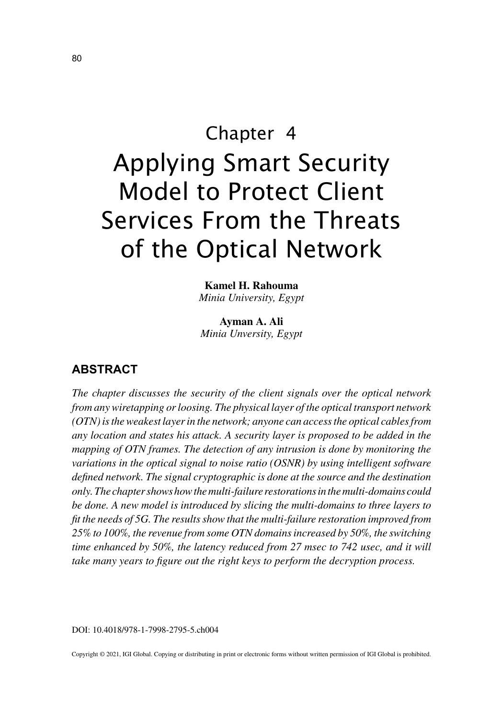# Chapter 4 Applying Smart Security Model to Protect Client Services From the Threats of the Optical Network

**Kamel H. Rahouma** *Minia University, Egypt*

**Ayman A. Ali** *Minia Unversity, Egypt*

## **ABSTRACT**

*The chapter discusses the security of the client signals over the optical network from any wiretapping or loosing. The physical layer of the optical transport network (OTN) is the weakest layer in the network; anyone can access the optical cables from any location and states his attack. A security layer is proposed to be added in the mapping of OTN frames. The detection of any intrusion is done by monitoring the variations in the optical signal to noise ratio (OSNR) by using intelligent software defined network. The signal cryptographic is done at the source and the destination only. The chapter shows how the multi-failure restorations in the multi-domains could be done. A new model is introduced by slicing the multi-domains to three layers to fit the needs of 5G. The results show that the multi-failure restoration improved from 25% to 100%, the revenue from some OTN domains increased by 50%, the switching time enhanced by 50%, the latency reduced from 27 msec to 742 usec, and it will take many years to figure out the right keys to perform the decryption process.*

DOI: 10.4018/978-1-7998-2795-5.ch004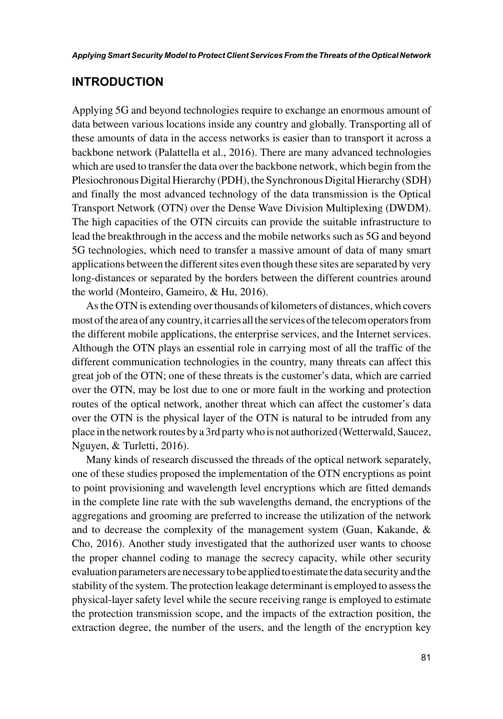# **INTRODUCTION**

Applying 5G and beyond technologies require to exchange an enormous amount of data between various locations inside any country and globally. Transporting all of these amounts of data in the access networks is easier than to transport it across a backbone network (Palattella et al., 2016). There are many advanced technologies which are used to transfer the data over the backbone network, which begin from the Plesiochronous Digital Hierarchy (PDH), the Synchronous Digital Hierarchy (SDH) and finally the most advanced technology of the data transmission is the Optical Transport Network (OTN) over the Dense Wave Division Multiplexing (DWDM). The high capacities of the OTN circuits can provide the suitable infrastructure to lead the breakthrough in the access and the mobile networks such as 5G and beyond 5G technologies, which need to transfer a massive amount of data of many smart applications between the different sites even though these sites are separated by very long-distances or separated by the borders between the different countries around the world (Monteiro, Gameiro, & Hu, 2016).

As the OTN is extending over thousands of kilometers of distances, which covers most of the area of any country, it carries all the services of the telecom operators from the different mobile applications, the enterprise services, and the Internet services. Although the OTN plays an essential role in carrying most of all the traffic of the different communication technologies in the country, many threats can affect this great job of the OTN; one of these threats is the customer's data, which are carried over the OTN, may be lost due to one or more fault in the working and protection routes of the optical network, another threat which can affect the customer's data over the OTN is the physical layer of the OTN is natural to be intruded from any place in the network routes by a 3rd party who is not authorized (Wetterwald, Saucez, Nguyen, & Turletti, 2016).

Many kinds of research discussed the threads of the optical network separately, one of these studies proposed the implementation of the OTN encryptions as point to point provisioning and wavelength level encryptions which are fitted demands in the complete line rate with the sub wavelengths demand, the encryptions of the aggregations and grooming are preferred to increase the utilization of the network and to decrease the complexity of the management system (Guan, Kakande, & Cho, 2016). Another study investigated that the authorized user wants to choose the proper channel coding to manage the secrecy capacity, while other security evaluation parameters are necessary to be applied to estimate the data security and the stability of the system. The protection leakage determinant is employed to assess the physical-layer safety level while the secure receiving range is employed to estimate the protection transmission scope, and the impacts of the extraction position, the extraction degree, the number of the users, and the length of the encryption key